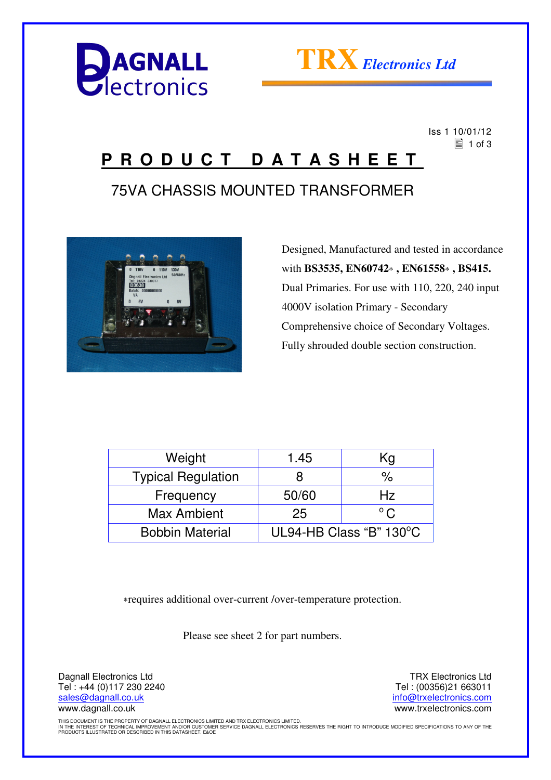



 Iss 1 10/01/12  $\equiv$  1 of 3

### **P R O D U C T D A T A S H E E T**

### 75VA CHASSIS MOUNTED TRANSFORMER



 Designed, Manufactured and tested in accordance with **BS3535, EN60742**∗ **, EN61558**∗ **, BS415.** Dual Primaries. For use with 110, 220, 240 input 4000V isolation Primary - Secondary Comprehensive choice of Secondary Voltages. Fully shrouded double section construction.

| Weight                    | 1.45                    | Kg            |
|---------------------------|-------------------------|---------------|
| <b>Typical Regulation</b> | 8                       | %             |
| Frequency                 | 50/60                   | Hz            |
| Max Ambient               | 25                      | $^{\circ}$ C. |
| <b>Bobbin Material</b>    | UL94-HB Class "B" 130°C |               |

∗requires additional over-current /over-temperature protection.

Please see sheet 2 for part numbers.

Dagnall Electronics Ltd Tel : +44 (0)117 230 2240 sales@dagnall.co.uk www.dagnall.co.uk

TRX Electronics Ltd Tel : (00356)21 663011 info@trxelectronics.com www.trxelectronics.com

THIS DOCUMENT IS THE PROPERTY OF DAGNALL ELECTRONICS LIMITED AND TRX ELECTRONICS LIMITED.<br>IN THE INTEREST OF TECHNICAL IMPROVEMENT AND/OR CUSTOMER SERVICE DAGNALL ELECTRONICS RESERVES THE RIGHT TO INTRODUCE MODIFIED SPECIF PRODUCTS ILLUSTRATED OR DESCRIBED IN THIS DATASHEET. E&OE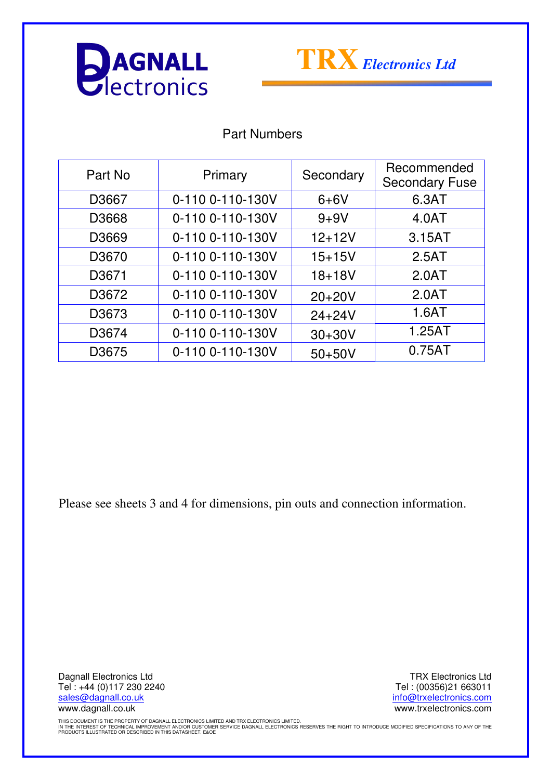



#### Part Numbers

| Part No           | Primary          | Secondary  | Recommended<br><b>Secondary Fuse</b> |
|-------------------|------------------|------------|--------------------------------------|
| D3667             | 0-110 0-110-130V | $6+6V$     | 6.3AT                                |
| D3668             | 0-110 0-110-130V | $9 + 9V$   | 4.0AT                                |
| D3669             | 0-110 0-110-130V | $12 + 12V$ | 3.15AT                               |
| D3670             | 0-110 0-110-130V | $15 + 15V$ | 2.5AT                                |
| D <sub>3671</sub> | 0-110 0-110-130V | $18 + 18V$ | 2.0AT                                |
| D3672             | 0-110 0-110-130V | $20+20V$   | 2.0AT                                |
| D3673             | 0-110 0-110-130V | $24 + 24V$ | 1.6AT                                |
| D3674             | 0-110 0-110-130V | $30+30V$   | 1.25AT                               |
| D3675             | 0-110 0-110-130V | $50+50V$   | 0.75AT                               |

Please see sheets 3 and 4 for dimensions, pin outs and connection information.

Dagnall Electronics Ltd Tel : +44 (0)117 230 2240 sales@dagnall.co.uk www.dagnall.co.uk

TRX Electronics Ltd Tel : (00356)21 663011 info@trxelectronics.com www.trxelectronics.com

THIS DOCUMENT IS THE PROPERTY OF DAGNALL ELECTRONICS LIMITED AND TRX ELECTRONICS LIMITED.<br>IN THE INTEREST OF TECHNICAL IMPROVEMENT AND/OR CUSTOMER SERVICE DAGNALL ELECTRONICS RESERVES THE RIGHT TO INTRODUCE MODIFIED SPECIF PRODUCTS ILLUSTRATED OR DESCRIBED IN THIS DATASHEET. E&OE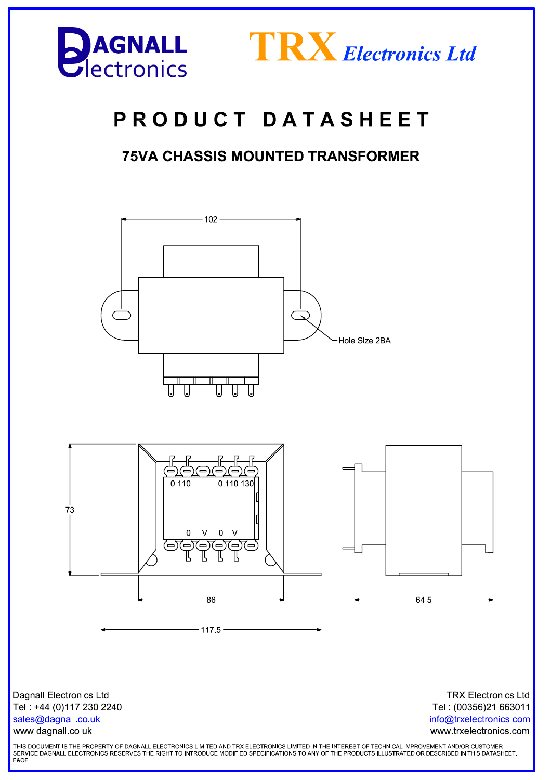



# PRODUCT DATASHEET

### **75VA CHASSIS MOUNTED TRANSFORMER**



**Dagnall Electronics Ltd** Tel: +44 (0)117 230 2240 sales@dagnall.co.uk www.dagnall.co.uk

**TRX Electronics Ltd** Tel: (00356)21 663011 info@trxelectronics.com www.trxelectronics.com

THIS DOCUMENT IS THE PROPERTY OF DAGNALL ELECTRONICS LIMITED AND TRX ELECTRONICS LIMITED.IN THE INTEREST OF TECHNICAL IMPROVEMENT AND/OR CUSTOMER SERVICE DAGNALL ELECTRONICS RESERVES THE RIGHT TO INTRODUCE MODIFIED SPECIFICATIONS TO ANY OF THE PRODUCTS ILLUSTRATED OR DESCRIBED IN THIS DATASHEET.<br>E&OE